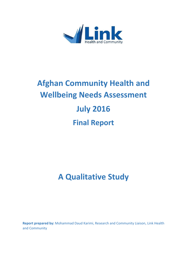

# **Afghan Community Health and Wellbeing Needs Assessment July 2016 Final Report**

# **A Qualitative Study**

**Report prepared by:** Mohammad Daud Karimi, Research and Community Liaison, Link Health and Community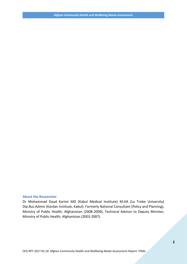#### **About the Researcher**

Dr Mohammad Daud Karimi MD (Kabul Medical Institute) M.HA (La Trobe University) Dip.Bus.Admin (Kardan Institute, Kabul). Formerly National Consultant (Policy and Planning), Ministry of Public Health, Afghanistan (2008-2009), Technical Advisor to Deputy Minister, Ministry of Public Health, Afghanistan (2003-2007).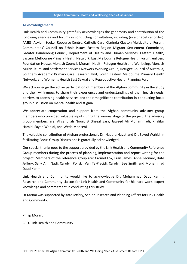#### **Acknowledgements**

Link Health and Community gratefully acknowledges the generosity and contribution of the following agencies and forums in conducting consultation, including (in alphabetical order): AMES, Asylum Seeker Resource Centre, Catholic Care, Clarinda-Clayton Multicultural Forum, Communities' Council on Ethnic Issues Eastern Region Migrant Settlement Committee, Greater Dandenong Council, Department of Health and Human Services, Eastern Health, Eastern Melbourne Primary Health Network, East Melbourne Refugee Health Forum, enliven, Foundation House, Monash Council, Monash Health Refugee Health and Wellbeing, Monash Multicultural and Settlement Services Network Working Group, Refugee Council of Australia, Southern Academic Primary Care Research Unit, South Eastern Melbourne Primary Health Network, and Women's Health East Sexual and Reproductive Health Planning Forum.

We acknowledge the active participation of members of the Afghan community in the study and their willingness to share their experiences and understandings of their health needs, barriers to accessing health services and their magnificent contribution in conducting focus group discussion on mental health and stigma.

We appreciate cooperation and support from the Afghan community advisory group members who provided valuable input during the various stage of the project. The advisory group members are: Ahsanullah Noori, B Ghezal Zara, Jaweed Ali Mohammadi, Khalilur Hamid, Sayed Wahidi, and Weda Mohseni.

The valuable contribution of Afghan professionals Dr. Nadera Hayat and Dr. Sayed Wahidi in facilitating Focus Group Discussions is gratefully acknowledged.

Our special thanks goes to the support provided by the Link Health and Community Reference Group members during the process of planning, implementation and report writing for the project. Members of the reference group are: Carmel Fox, Fran James, Anne Leonard, Kate Jeffery, Sally Ann Nadj, Carolyn Poljski, Van Ta-Placidi, Carolyn Lee Smith and Mohammad Daud Karimi.

Link Health and Community would like to acknowledge Dr. Mohammad Daud Karimi, Research and Community Liaison for Link Health and Community for his hard work, expert knowledge and commitment in conducting this study.

Dr Karimi was supported by Kate Jeffery, Senior Research and Planning Officer for Link Health and Community.

Philip Moran,

CEO, Link Health and Community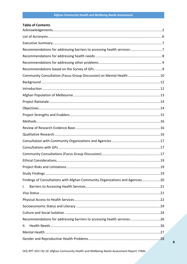#### **Table of Contents**

| Recommendations for addressing barriers to accessing health services:7       |  |
|------------------------------------------------------------------------------|--|
|                                                                              |  |
|                                                                              |  |
|                                                                              |  |
| Community Consultation (Focus Group Discussion) on Mental Health 10          |  |
|                                                                              |  |
|                                                                              |  |
|                                                                              |  |
|                                                                              |  |
|                                                                              |  |
|                                                                              |  |
|                                                                              |  |
|                                                                              |  |
|                                                                              |  |
|                                                                              |  |
|                                                                              |  |
|                                                                              |  |
|                                                                              |  |
|                                                                              |  |
|                                                                              |  |
| Findings of Consultations with Afghan Community Organizations and Agencies20 |  |
| I.                                                                           |  |
|                                                                              |  |
|                                                                              |  |
|                                                                              |  |
|                                                                              |  |
| Recommendations for addressing barriers to accessing health services:26      |  |
| ΙΙ.                                                                          |  |
|                                                                              |  |
|                                                                              |  |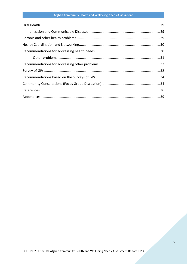# Afghan Community Health and Wellbeing Needs Assessment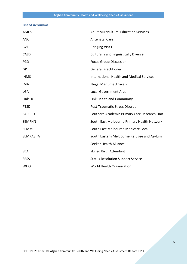## **List of Acronyms**

| AMES            | <b>Adult Multicultural Education Services</b>    |
|-----------------|--------------------------------------------------|
| <b>ANC</b>      | <b>Antenatal Care</b>                            |
| <b>BVE</b>      | <b>Bridging Visa E</b>                           |
| <b>CALD</b>     | <b>Culturally and linguistically Diverse</b>     |
| <b>FGD</b>      | <b>Focus Group Discussion</b>                    |
| GP              | <b>General Practitioner</b>                      |
| <b>IHMS</b>     | <b>International Health and Medical Services</b> |
| <b>IMA</b>      | <b>Illegal Maritime Arrivals</b>                 |
| <b>LGA</b>      | <b>Local Government Area</b>                     |
| Link HC         | Link Health and Community                        |
| <b>PTSD</b>     | Post-Traumatic Stress Disorder                   |
| SAPCRU          | Southern Academic Primary Care Research Unit     |
| <b>SEMPHN</b>   | South East Melbourne Primary Health Network      |
| <b>SEMML</b>    | South East Melbourne Medicare Local              |
| <b>SEMRASHA</b> | South Eastern Melbourne Refugee and Asylum       |
|                 | Seeker Health Alliance                           |
| SBA             | <b>Skilled Birth Attendant</b>                   |
| <b>SRSS</b>     | <b>Status Resolution Support Service</b>         |
| <b>WHO</b>      | World Health Organization                        |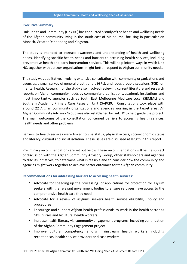#### **Executive Summary**

Link Health and Community (Link HC) has conducted a study of the health and wellbeing needs of the Afghan community living in the south-east of Melbourne, focusing in particular on Monash, Greater Dandenong and Kingston.

The study is intended to increase awareness and understanding of health and wellbeing needs, identifying specific health needs and barriers to accessing health services, including preventative health and early intervention services. This will help inform ways in which Link HC, together with partner organisations, might better respond to Afghan community needs.

The study was qualitative, involving extensive consultation with community organizations and agencies, a small survey of general practitioners (GPs), and focus group discussions (FGD) on mental health. Research for the study also involved reviewing current literature and research reports on Afghan community needs by community organisations, academic institutions and most importantly, agencies such as South East Melbourne Medicare Local (SEMML) and Southern Academic Primary Care Research Unit (SAPCRU). Consultations took place with around 22 Afghan community organizations and agencies working in the target area. An Afghan Community Advisory Group was also established by Link HC to help guide the project. The main outcomes of the consultation concerned barriers to accessing health services, health needs and other problems.

Barriers to health services were linked to visa status, physical access, socioeconomic status and literacy, cultural and social isolation. These issues are discussed at length in this report.

Preliminary recommendations are set out below. These recommendations will be the subject of discussion with the Afghan Community Advisory Group, other stakeholders and agencies to discuss initiatives, to determine what is feasible and to consider how the community and agencies might work together to achieve better outcomes for the Afghan community.

#### **Recommendations for addressing barriers to accessing health services:**

- Advocate for speeding up the processing of applications for protection for asylum seekers with the relevant government bodies to ensure refugees have access to the comprehensive health care they need
- Advocate for a review of asylums seekers health service eligibility, policy and procedures
- Encourage and support Afghan health professionals to work in the health sector as GPs, nurses and bicultural health workers.
- Increase health literacy via community engagement programs including continuation of the Afghan Community Engagement project
- Improve cultural competency among mainstream health workers including receptionists, health service providers and case workers.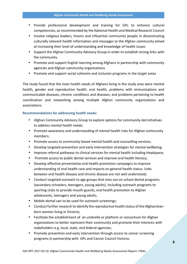- Provide professional development and training for GPs to enhance cultural competencies, as recommended by the National Health and Medical Research Council
- Involve religious leaders, Imams and influential community people in disseminating culturally relevant health information and messages to the Afghan community aimed at increasing their level of understanding and knowledge of health issues
- Support the Afghan Community Advisory Group in order to establish strong links with the community
- Promote and support English learning among Afghans in partnership with community agencies and Afghan community organisations
- Promote and support social cohesion and inclusion programs in the target areas

The study found that the main health needs of Afghans living in the study area were mental health, gender and reproductive health, oral health, problems with immunizations and communicable diseases, chronic conditions and diseases, and problems pertaining to health coordination and networking among multiple Afghan community organizations and associations.

#### **Recommendations for addressing health needs:**

- Afghan Community Advisory Group to explore options for community-led initiatives to address mental health needs;
- Promote awareness and understanding of mental health risks for Afghan community members;
- Promote access to community based mental health and counselling services;
- Develop targeted prevention and early intervention strategies for mental wellbeing;
- Improve referral pathways to clinical services for mental health including Headspace;
- Promote access to public dental services and improve oral health literacy;
- Develop effective preventative oral health promotion campaigns to improve understanding of oral health care and impacts on general health status. Links between oral health disease and chronic disease are not well understood;
- Conduct targeted outreach to age groups that miss out on school dental programs (secondary schoolers, teenagers, young adults), including outreach programs to sporting clubs to provide mouth-guards, oral health promotion to Afghan adolescents, teenagers and young adults;
- Mobile dental van to be used for outreach screenings;
- Conduct further research to identify the reproductive health status of the Afghanistan born women living in Victoria;
- Facilitate the establishment of an umbrella or platform or consortium for Afghan organizations to better represent their community and promote their interests with stakeholders e.g. local, state, and federal agencies;
- Promote prevention and early intervention through access to cancer screening programs in partnership with GPs and Cancer Council Victoria;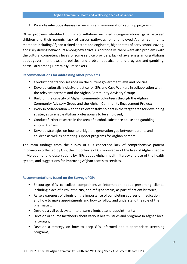Promote infectious diseases screenings and immunization catch up programs.

Other problems identified during consultations included intergenerational gaps between children and their parents, lack of career pathways for unemployed Afghan community members including Afghan trained doctors and engineers, higher rates of early school leaving, and risky driving behaviours among new arrivals. Additionally, there were also problems with the cultural competency levels of some service providers, lack of awareness among Afghans about government laws and policies, and problematic alcohol and drug use and gambling, particularly among Hazara asylum seekers.

#### **Recommendations for addressing other problems**

- Conduct orientation sessions on the current government laws and policies;
- Develop culturally inclusive practice for GPs and Case Workers in collaboration with the relevant partners and the Afghan Community Advisory Group;
- Build on the capacity of Afghan community volunteers through the Afghan Community Advisory Group and the Afghan Community Engagement Project;
- Work in collaboration with the relevant stakeholders in the target area for developing strategies to enable Afghan professionals to be employed;
- Conduct further research in the area of alcohol, substance abuse and gambling among Afghans;
- Develop strategies on how to bridge the generation gap between parents and children as well as parenting support programs for Afghan parents.

The main findings from the survey of GPs concerned lack of comprehensive patient information collected by GPs, the importance of GP knowledge of the lives of Afghan people in Melbourne, and observations by GPs about Afghan health literacy and use of the health system, and suggestions for improving Afghan access to services.

#### **Recommendations based on the Survey of GPs**

- Encourage GPs to collect comprehensive information about presenting clients, including place of birth, ethnicity, and refugee status, as part of patient histories;
- Raise awareness of clients on the importance of completing courses of medication and how to make appointments and how to follow and understand the role of the pharmacist;
- Develop a call back system to ensure clients attend appointments;
- Develop or source factsheets about various health issues and programs in Afghan local languages;
- Develop a strategy on how to keep GPs informed about appropriate screening programs;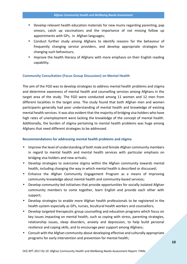- Develop relevant health education materials for new mums regarding parenting, pap smears, catch up vaccinations and the importance of not missing follow up appointments with GPs, in Afghan languages;
- Conduct further study among Afghans to identify reasons for the behaviour of frequently changing service providers, and develop appropriate strategies for changing such behaviours;
- Improve the health literacy of Afghans with more emphasis on their English reading capability.

#### **Community Consultation (Focus Group Discussion) on Mental Health**

The aim of the FGD was to develop strategies to address mental health problems and stigma and determine awareness of mental health and counselling services among Afghans in the target area of the study. The FGD were conducted among 11 women and 12 men from different localities in the target area. The study found that both Afghan men and women participants generally had poor understanding of mental health and knowledge of existing mental health services. It was also evident that the majority of bridging visa holders who have high rates of unemployment were lacking the knowledge of the concept of mental health. Additionally, the burden of stigma pertaining to mental health problems was huge among Afghans that need different strategies to be addressed.

#### **Recommendations for addressing mental health problems and stigma**

- Improve the level of understanding of both male and female Afghan community members in regard to mental health and mental health services with particular emphasis on bridging visa holders and new arrivals;
- Develop strategies to overcome stigma within the Afghan community towards mental health, including changing the way in which mental health is described or discussed;
- Enhance the Afghan Community Engagement Program as a means of improving community knowledge about mental health and community-based services;
- Develop community-led initiatives that provide opportunities for socially isolated Afghan community members to come together, learn English and provide each other with support;
- Develop strategies to enable more Afghan health professionals to be registered in the health system especially as GPs, nurses, bicultural health workers and counsellors;
- Develop targeted therapeutic group counselling and education programs which focus on key issues impacting on mental health, such as coping with stress, parenting strategies, relationship issues, sleep disorders, anxiety and depression, to help build personal resilience and coping skills, and to encourage peer support among Afghans;
- Consult with the Afghan community about developing effective and culturally appropriate programs for early intervention and prevention for mental health;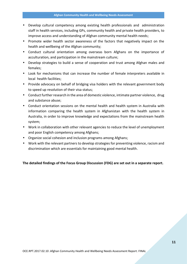- Develop cultural competency among existing health professionals and administration staff in health services, including GPs, community health and private health providers, to improve access and understanding of Afghan community mental health needs;
- Promote wider health sector awareness of the factors that negatively impact on the health and wellbeing of the Afghan community;
- Conduct cultural orientation among overseas born Afghans on the importance of acculturation, and participation in the mainstream culture;
- Develop strategies to build a sense of cooperation and trust among Afghan males and females;
- Look for mechanisms that can increase the number of female interpreters available in local health facilities;
- Provide advocacy on behalf of bridging visa holders with the relevant government body to speed up resolution of their visa status;
- Conduct further research in the area of domestic violence, intimate partner violence, drug and substance abuse;
- Conduct orientation sessions on the mental health and health system in Australia with information comparing the health system in Afghanistan with the health system in Australia, in order to improve knowledge and expectations from the mainstream health system;
- Work in collaboration with other relevant agencies to reduce the level of unemployment and poor English competency among Afghans;
- Organize social cohesion and inclusion programs among Afghans;
- Work with the relevant partners to develop strategies for preventing violence, racism and discrimination which are essentials for maintaining good mental health.

**The detailed findings of the Focus Group Discussion (FDG) are set out in a separate report.**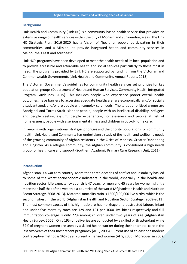#### **Background**

Link Health and Community (Link HC) is a community-based health service that provides an extensive range of health services within the City of Monash and surrounding areas. The Link HC Strategic Plan, 2016-2020 has a Vision of 'healthier people participating in their communities' and a Mission, 'to provide integrated health and community services in Melbourne's east and southeast'.

Link HC's programs have been developed to meet the health needs of its local population and to provide accessible and affordable health and social services particularly to those most in need. The programs provided by Link HC are supported by funding from the Victorian and Commonwealth Governments (Link Health and Community, Annual Report, 2013).

The Victorian Government's guidelines for community health services set priorities for key population groups (Department of Health and Human Services, Community Health Integrated Program Guidelines, 2015). This includes people who experience poorer overall health outcomes, have barriers to accessing adequate healthcare, are economically and/or socially disadvantaged, and/or are people with complex care needs. The target prioritized groups are Aboriginal and Torres Strait Islander people, people with an intellectual disability, refugees and people seeking asylum, people experiencing homelessness and people at risk of homelessness, people with a serious mental illness and children in out-of-home care.

In keeping with organizational strategic priorities and the priority populations for community health, Link Health and Community has undertaken a study of the health and wellbeing needs of the growing community of Afghan residents in the Cities of Monash, Greater Dandenong and Kingston. As a refugee community, the Afghan community is considered a high needs group for health care and support (Southern Academic Primary Care Research Unit, 2011).

#### **Introduction**

Afghanistan is a war torn country. More than three decades of conflict and instability has led to some of the worst socioeconomic indicators in the world, especially in the health and nutrition sector. Life expectancy at birth is 47 years for men and 45 years for women, slightly more than half that of the wealthiest countries of the world (Afghanistan Health and Nutrition Sector Strategy, 2008-2013). Maternal mortality ratio is 1600/100,000 live births, which is the second highest in the world (Afghanistan Health and Nutrition Sector Strategy, 2008-2013). The most common causes of this high ratio are haemorrhage and obstructed labour. Infant and under five mortality rates are 129 and 191 per 1000 live births respectively and full immunization coverage is only 27% among children under two years of age (Afghanistan Health Survey, 2006). Only 19% of deliveries are conducted by a skilled birth attendant while 32% of pregnant women are seen by a skilled health worker during their antenatal care in the last two years of their most recent pregnancy (AHS, 2006). Current use of at least one modern contraceptive method is 16% by all currently married women (AHS, 2006). Moreover, in 2002,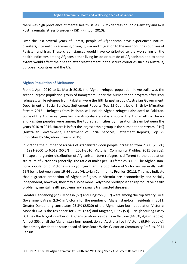there was high prevalence of mental health issues: 67.7% depression, 72.2% anxiety and 42% Post Traumatic Stress Disorder (PTSD) (Rintoul, 2010).

Over the last several years of unrest, people of Afghanistan have experienced natural disasters, internal displacement, drought, war and migration to the neighbouring countries of Pakistan and Iran. These circumstances would have contributed to the worsening of the health indicators among Afghans either living inside or outside of Afghanistan and to some extent would affect their health after resettlement in the secure countries such as Australia, European countries and the US.

#### **Afghan Population of Melbourne**

From 1 April 2010 to 31 March 2015, the Afghan refugee population in Australia was the second largest population group of immigrants under the humanitarian program after Iraqi refugees, while refugees from Pakistan were the fifth largest group (Australian Government, Department of Social Services, Settlement Reports, Top 25 Countries of Birth by Migration Stream 2015). Refugees from Pakistan will include Afghan refugees displaced to Pakistan. Some of the Afghan refugees living in Australia are Pakistan-born. The Afghan ethnic Hazara and Pashtun peoples were among the top 25 ethnicities by migration stream between the years 2010 to 2015. Hazara is in fact the largest ethnic group in the humanitarian stream (21%) (Australian Government, Department of Social Services, Settlement Reports, Top 25 Ethnicities by Migration Stream, 2015).

In Victoria the number of arrivals of Afghanistan-born people increased from 2,308 (23.2%) in 1991-2000 to 6,019 (60.5%) in 2001-2010 (Victorian Community Profiles, 2011 Census). The age and gender distribution of Afghanistan-born refugees is different to the population structure of Victorians generally. The ratio of males per 100 females is 136. The Afghanistan born population of Victoria is also younger than the population of Victorians generally, with 59% being between ages 19-44 years (Victorian Community Profiles, 2011). This may indicate that a greater proportion of Afghan refugees in Victoria are economically and socially independent; however, they may also be more likely to be predisposed to reproductive health problems, mental health problems and sexually transmitted diseases.

Greater Dandenong ( $2<sup>nd</sup>$ ), Monash ( $5<sup>th</sup>$ ) and Kingston ( $19<sup>th</sup>$ ) were among the top twenty Local Government Areas (LGA) in Victoria for the number of Afghanistan-born residents in 2011. Greater Dandenong constitutes 25.3% (2,520) of the Afghanistan-born population Victoria; Monash LGA is the residence for 2.3% (232) and Kingston, 0.5% (53). Neighbouring Casey LGA has the largest number of Afghanistan-born residents in Victoria (44.6%, 4,437 people). Almost 35% of all the Afghanistan-born population of Australia live in Victoria (9,944 people), the primary destination state ahead of New South Wales (Victorian Community Profiles, 2011 Census).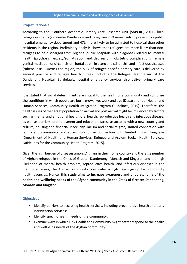#### **Project Rationale**

According to the Southern Academic Primary Care Research Unit (SAPCRU, 2011), local refugee residents (in Greater Dandenong and Casey) are 23% more likely to present to a public hospital emergency department and 47% more likely to be admitted to hospital than other residents in the region. Preliminary analysis shows that refugees are more likely than non refugees to be discharged from regional public hospitals with diagnoses related to: mental health (psychosis, anxiety/somatisation and depression), obstetric complications (female genital mutilation or circumcision, foetal death in utero and stillbirths) and infectious diseases (tuberculosis). Across the region, the bulk of refugee-specific primary care is delivered by general practice and refugee health nurses, including the Refugee Health Clinic at the Dandenong Hospital. By default, hospital emergency services also deliver primary care services.

It is stated that social determinants are critical to the health of a community and comprise the conditions in which people are born, grow, live, work and age (Department of Health and Human Services, Community Health Integrated Program Guidelines, 2015). Therefore, the health issues of the target population on arrival and post arrival might be influenced by factors such as mental and emotional health, oral health, reproductive health and infectious disease, as well as barriers to employment and education, stress associated with a new country and culture, housing and financial insecurity, racism and social stigma, limited connection with family and community and social isolation in connection with limited English language (Department of Health and Human Services, Refugee and Asylum Seeker Health Services, Guidelines for the Community Health Program, 2015).

Given the high burden of diseases among Afghans in their home country and the large number of Afghan refugees in the Cities of Greater Dandenong, Monash and Kingston and the high likelihood of mental health problem, reproductive health, and infectious diseases in the mentioned areas, the Afghan community constitutes a high needs group for community health agencies. Hence, **this study aims to Increase awareness and understanding of the health and wellbeing needs of the Afghan community in the Cities of Greater Dandenong, Monash and Kingston**.

#### **Objectives**

- Identify barriers to accessing health services, including preventative health and early intervention services;
- $\bullet$  Identify specific health needs of the community;
- Examine ways in which Link Health and Community might better respond to the health and wellbeing needs of the Afghan community.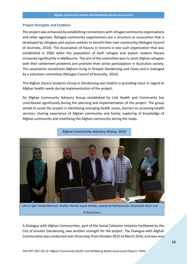#### **Project Strengths and Enablers**

The project was enhanced by establishing connections with refugee community organizations and other agencies. Refugee community organizations are a structure or association that is developed by refugees and asylum seekers to benefit their own community (Refugee Council of Australia, 2014). The Association of Hazara in Victoria is one such organization that was established in 2002 when the population of both refugee and asylum seekers Hazara increased significantly in Melbourne. The aim of the committee was to assist Afghan refugees with their settlement problems and promote their active participation in Australian society. This association constitutes Afghans living in Greater Dandenong and Casey and is managed by a volunteer committee (Refugee Council of Australia, 2014).

The Afghan Hazara Students Group in Dandenong was helpful in providing input in regard to Afghan health needs during implementation of the project.

An Afghan Community Advisory Group established by Link Health and Community has contributed significantly during the planning and implementation of the project. The group aimed to assist the project in identifying emerging health issues, barriers to accessing health services, sharing experience of Afghan community and family, exploring of knowledge of Afghan community and mobilizing the Afghan community during the study.



Afghan Community Advisory Group, 2016

Left to right: Weda Mohseni, Khalilur Hamid, Sayed Wahidi, Jaweed Ali Mohammadi, Ahsanullah Noori and B Ghezal Zara

A Dialogue with Afghan Communities, part of the Social Cohesion initiative facilitated by the City of Greater Dandenong, was another strength for the project. The Dialogue with Afghan Communities was conducted over three days from October 2015 to March 2016, and was very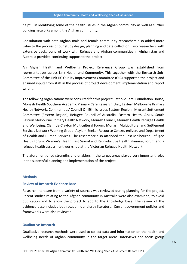helpful in identifying some of the health issues in the Afghan community as well as further building networks among the Afghan community.

Consultation with both Afghan male and female community researchers also added more value to the process of our study design, planning and data collection. Two researchers with extensive background of work with Refugee and Afghan communities in Afghanistan and Australia provided continuing support to the project.

An Afghan Health and Wellbeing Project Reference Group was established from representatives across Link Health and Community. This together with the Research Sub- Committee of the Link HC Quality Improvement Committee (QIC) supported the project and ensured inputs from staff in the process of project development, implementation and report writing.

The following organizations were consulted for this project: Catholic Care, Foundation House, Monash Health Southern Academic Primary Care Research Unit, Eastern Melbourne Primary Health Network, Communities' Council On Ethnic Issues Eastern Region, Migrant Settlement Committee (Eastern Region), Refugee Council of Australia, Eastern Health, AMES, South Eastern Melbourne Primary Health Network, Monash Council, Monash Health Refugee Health and Wellbeing, Clarinda-Clayton Multicultural Forum, Monash Multicultural and Settlement Services Network Working Group, Asylum Seeker Resource Centre, enliven, and Department of Health and Human Services. The researcher also attended the East Melbourne Refugee Health Forum, Women's Health East Sexual and Reproductive Health Planning Forum and a refugee health assessment workshop at the Victorian Refugee Health Network.

The aforementioned strengths and enablers in the target areas played very important roles in the successful planning and implementation of the project.

#### **Methods**

#### **Review of Research Evidence Base**

Research literature from a variety of sources was reviewed during planning for the project. Recent studies relating to the Afghan community in Australia were also examined, to avoid duplication and to allow the project to add to the knowledge base. The review of the evidence-base included both academic and grey literature. Current government policies and frameworks were also reviewed.

#### **Qualitative Research**

Qualitative research methods were used to collect data and information on the health and wellbeing needs of Afghan community in the target areas. Interviews and focus group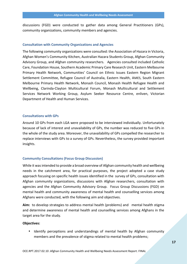discussions (FGD) were conducted to gather data among General Practitioners (GPs), community organizations, community members and agencies.

#### **Consultation with Community Organizations and Agencies**

The following community organizations were consulted: the Association of Hazara in Victoria, Afghan Women's Community Kitchen, Australian Hazara Students Group, Afghan Community Advisory Group, and Afghan community researchers. Agencies consulted included Catholic Care, Foundation House, Southern Academic Primary Care Research Unit, Eastern Melbourne Primary Health Network, Communities' Council on Ethnic Issues Eastern Region Migrant Settlement Committee, Refugee Council of Australia, Eastern Health, AMES, South Eastern Melbourne Primary Health Network, Monash Council, Monash Health Refugee Health and Wellbeing, Clarinda-Clayton Multicultural Forum, Monash Multicultural and Settlement Services Network Working Group, Asylum Seeker Resource Centre, enliven, Victorian Department of Health and Human Services.

#### **Consultations with GPs**

Around 10 GPs from each LGA were proposed to be interviewed individually. Unfortunately because of lack of interest and unavailability of GPs, the number was reduced to five GPs in the whole of the study area. Moreover, the unavailability of GPs compelled the researcher to replace interviews with GPs to a survey of GPs. Nevertheless, the survey provided important insights.

#### **Community Consultations (Focus Group Discussion)**

While it was intended to provide a broad overview of Afghan community health and wellbeing needs in the catchment area, for practical purposes, the project adopted a case study approach focusing on specific health issues identified in the survey of GPs, consultation with Afghan community organizations, discussions with Afghan researchers, consultation with agencies and the Afghan Community Advisory Group. Focus Group Discussions (FGD) on mental health and community awareness of mental health and counselling services among Afghans were conducted, with the following aim and objectives.

**Aim:** to develop strategies to address mental health (problems) and mental health stigma and determine awareness of mental health and counselling services among Afghans in the target area for the study.

#### **Objectives:**

 Identify perceptions and understandings of mental health by Afghan community members and the prevalence of stigma related to mental health problems;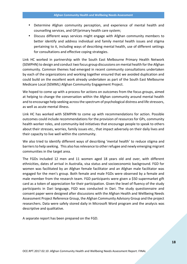- Determine Afghan community perception, and experience of mental health and counselling services, and GP/primary health care system;
- Discuss different ways services might engage with Afghan community members to better identify and address individual and family mental health issues and stigma pertaining to it, including ways of describing mental health, use of different settings for consultations and effective coping strategies.

Link HC worked in partnership with the South East Melbourne Primary Health Network (SEMPHN) to design and conduct two focus group discussions on mental health for the Afghan community. Common themes had emerged in recent community consultations undertaken by each of the organizations and working together ensured that we avoided duplication and could build on the excellent work already undertaken as part of the South East Melbourne Medicare Local (SEMML) Afghan Community Engagement Project.

We hoped to come up with a process for actions on outcomes from the focus groups, aimed at helping to change the conversation within the Afghan community around mental health and to encourage help seeking across the spectrum of psychological distress and life stressors, as well as acute mental illness.

Link HC has worked with SEMPHN to come up with recommendations for action. Possible outcomes could include recommendations for the provision of resources for GPs, community health worker roles, and community-led initiatives that encourage people to speak to others about their stresses, worries, family issues etc., that impact adversely on their daily lives and their capacity to live well within the community.

We also tried to identify different ways of describing 'mental health' to reduce stigma and barriers to help seeking. This also has relevance to other refugee and newly emerging migrant communities in the target area.

The FGDs included 12 men and 11 women aged 18 years old and over, with different ethnicities, dates of arrival in Australia, visa status and socioeconomic background. FGD for women was facilitated by an Afghan female facilitator and an Afghan male facilitator was engaged for the men's group. Both female and male FGDs were observed by a female and male member from the research team. FGD participants were given a \$50 supermarket gift card as a token of appreciation for their participation. Given the level of fluency of the study participants in Dari language, FGD was conducted in Dari. The study questionnaire and consent paper were designed after discussions with the Afghan Health and Wellbeing Needs Assessment Project Reference Group, the Afghan Community Advisory Group and the project researchers. Data were safely stored daily in Microsoft Word program and the analysis was descriptive and qualitative.

A separate report has been prepared on the FGD.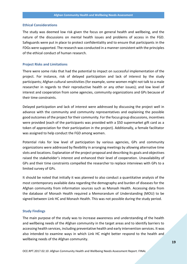#### **Ethical Considerations**

The study was deemed low risk given the focus on general health and wellbeing, and the nature of the discussions on mental health issues and problems of access in the FGD. Safeguards were put in place to protect confidentiality and to ensure that participants in the FDGs were supported. The research was conducted in a manner consistent with the principles of the ethical conduct of human research.

#### **Project Risks and Limitations**

There were some risks that had the potential to impact on successful implementation of the project. For instance, risk of delayed participation and lack of interest by the study participants; Afghan cultural sensitivities (for example, some women might not talk to a male researcher in regards to their reproductive health or any other issues); and low level of interest and cooperation from some agencies, community organizations and GPs because of their time constraints.

Delayed participation and lack of interest were addressed by discussing the project well in advance with the community and community representatives and explaining the possible good outcomes of the project fortheir community. For the focus group discussions, incentives were provided (each of the participants was provided with a \$50 supermarket gift card as a token of appreciation for their participation in the project). Additionally, a female facilitator was assigned to help conduct the FGD among women.

Potential risks for low level of participation by various agencies, GPs and community organizations were addressed by flexibility in arranging meetings by allowing alternative time slots and locations. Explanation of the project proposal and describing its goals and objectives raised the stakeholder's interest and enhanced their level of cooperation. Unavailability of GPs and their time constraints compelled the researcher to replace interviews with GPs to a limited survey of GPs.

It should be noted that initially it was planned to also conduct a quantitative analysis of the most contemporary available data regarding the demography and burden of diseases for the Afghan community from information sources such as Monash Health. Accessing data from the database of Monash Health required a Memorandum of Understanding (MOU) to be signed between Link HC and Monash Health. This was not possible during the study period.

#### **Study Findings**

The main purpose of the study was to increase awareness and understanding of the health and wellbeing needs of the Afghan community in the target areas and to identify barriers to accessing health services, including preventative health and early intervention services. It was also intended to examine ways in which Link HC might better respond to the health and wellbeing needs of the Afghan community.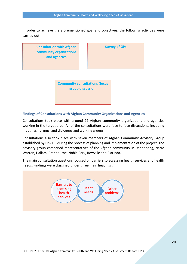In order to achieve the aforementioned goal and objectives, the following activities were carried out:



#### **Findings of Consultations with Afghan Community Organizations and Agencies**

Consultations took place with around 22 Afghan community organizations and agencies working in the target area. All of the consultations were face to face discussions, including meetings, forums, and dialogues and working groups.

Consultations also took place with seven members of Afghan Community Advisory Group established by Link HC during the process of planning and implementation of the project. The advisory group comprised representatives of the Afghan community in Dandenong, Narre Warren, Hallam, Cranbourne, Noble Park, Rowville and Clarinda.

The main consultation questions focused on barriers to accessing health services and health needs. Findings were classified under three main headings:

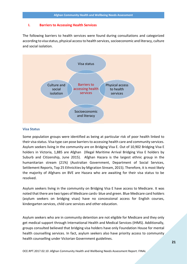#### **I. Barriers to Accessing Health Services**

The following barriers to health services were found during consultations and categorized according to visa status, physical accessto health services, socioeconomic and literacy, culture and social isolation.



#### **Visa Status**

Some population groups were identified as being at particular risk of poor health linked to their visa status. Visa type can pose barriers to accessing health care and community services. Asylum seekers living in the community are on Bridging Visa E. Out of 10,902 Bridging Visa E holders in Victoria, 1,885 are Afghan (Illegal Maritime Arrival Bridging Visa E holders by Suburb and Citizenship, June 2015). Afghan Hazara is the largest ethnic group in the humanitarian stream (21%) (Australian Government, Department of Social Services, Settlement Reports, Top 25 Ethnicities by Migration Stream, 2015). Therefore, it is most likely the majority of Afghans on BVE are Hazara who are awaiting for their visa status to be resolved.

Asylum seekers living in the community on Bridging Visa E have access to Medicare. It was noted that there are two types of Medicare cards- blue and green. Blue Medicare card holders (asylum seekers on bridging visas) have no concessional access for English courses, kindergarten services, child care services and other education.

Asylum seekers who are in community detention are not eligible for Medicare and they only get medical support through International Health and Medical Services (IHMS). Additionally, groups consulted believed that bridging visa holders have only Foundation House for mental health counselling services. In fact, asylum seekers also have priority access to community health counselling under Victorian Government guidelines.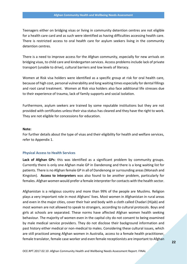Teenagers either on bridging visas or living in community detention centres are not eligible for a health care card and as such were identified as having difficulties accessing health care. There is restricted access to oral health care for asylum seekers living in the community detention centres.

There is a need to improve access for the Afghan community, especially for new arrivals on bridging visas, to child care and kindergarten services. Access problems include lack of private transport (unable to drive), cultural barriers and low levels of literacy.

Women at Risk visa holders were identified as a specific group at risk for oral health care, because of high cost, personal vulnerability and long waiting times especially for dental fillings and root canal treatment. Women at Risk visa holders also face additional life stresses due to their experience of trauma, lack of family supports and social isolation.

Furthermore, asylum seekers are trained by some reputable institutions but they are not provided with certificates unless their visa status has cleared and they have the right to work. They are not eligible for concessions for education.

#### **Note:**

For further details about the type of visas and their eligibility for health and welfare services, refer to Appendix 1.

#### **Physical Access to Health Services**

**Lack of Afghan GPs**: this was identified as a significant problem by community groups. Currently there is only one Afghan male GP in Dandenong and there is a long waiting list for patients. There is no Afghan female GP in all of Dandenong or surrounding areas (Monash and Kingston). **Access to interpreters** was also found to be another problem, particularly for females. Afghan women would prefer a female interpreter for contacts with the health sector.

Afghanistan is a religious country and more than 99% of the people are Muslims. Religion plays a very important role in most Afghans' lives. Most women in Afghanistan in rural areas and even in the major cities, cover their hair and body with a cloth called Chadari (Hijab) and most women are not allowed to speak to strangers, according to cultural protocols. Boys and girls at schools are separated. These norms have affected Afghan women health seeking behaviour. The majority of women even in the capital city do not consent to being examined by male medical service providers. They do not disclose their background information and past history either medical or non-medical to males. Considering these cultural issues, which are still practiced among Afghan women in Australia, access to a female health practitioner, female translator, female case worker and even female receptionists are important to Afghan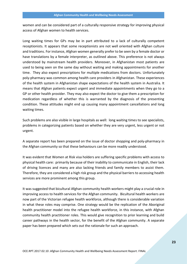women and can be considered part of a culturally responsive strategy for improving physical access of Afghan women to health services.

Long waiting times for GPs may be in part attributed to a lack of culturally competent receptionists. It appears that some receptionists are not well oriented with Afghan culture and traditions. For instance, Afghan women generally prefer to be seen by a female doctor or have translations by a female interpreter, as outlined above. This preference is not always understood by mainstream health providers. Moreover, in Afghanistan most patients are used to being seen on the same day without waiting and making appointments for another time. They also expect prescriptions for multiple medications from doctors. Unfortunately poly-pharmacy was common among health care providers in Afghanistan. These experiences of the health system in Afghanistan shape expectations of the health system in Australia. It means that Afghan patients expect urgent and immediate appointments when they go to a GP or other health provider. They may also expect the doctor to give them a prescription for medication regardless of whether this is warranted by the diagnosis of the presenting condition. These attitudes might end up causing many appointment cancellations and long waiting times.

Such problems are also visible in large hospitals as well: long waiting times to see specialists, problems in categorizing patients based on whether they are very urgent, less urgent or not urgent.

A separate report has been prepared on the issue of doctor shopping and poly-pharmacy in the Afghan community so that these behaviours can be more readily understood.

It was evident that Women at Risk visa holders are suffering specific problems with access to physical health care: primarily because of their inability to communicate in English, their lack of driving licences and many are also lacking friends and family members to assist them. Therefore, they are considered a high risk group and the physical barriers to accessing health services are more prominent among this group.

It was suggested that bicultural Afghan community health workers might play a crucial role in improving access to health services for the Afghan community. Bicultural health workers are now part of the Victorian refugee health workforce, although there is considerable variation in what these roles may comprise. One strategy would be the replication of the Aboriginal health practitioner model into the refugee health workforce, in this instance, with Afghan community health practitioner roles. This would give recognition to prior learning and build career pathways in the health sector, for the benefit of the Afghan community. A separate paper has been prepared which sets out the rationale for such an approach.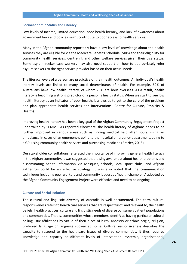#### **Socioeconomic Status and Literacy**

Low levels of income, limited education, poor health literacy, and lack of awareness about government laws and policies might contribute to poor access to health services.

Many in the Afghan community reportedly have a low level of knowledge about the health services they are eligible for via the Medicare Benefits Schedule (MBS) and their eligibility for community health services, Centrelink and other welfare services given their visa status. Some asylum seeker case workers may also need support on how to appropriately refer asylum seekers to the right service provider based on their actual needs.

The literacy levels of a person are predictive of their health outcomes. An individual's health literacy levels are linked to many social determinants of health. For example, 59% of Australians have low health literacy, of whom 75% are born overseas. As a result, health literacy is becoming a strong predictor of a person's health status. When we start to see low health literacy as an indicator of poor health, it allows us to get to the core of the problem and plan appropriate health services and interventions (Centre for Culture, Ethnicity & Health).

Improving health literacy has been a key goal of the Afghan Community Engagement Project undertaken by SEMML. As reported elsewhere, the health literacy of Afghans needs to be further improved in various areas such as finding medical help after hours, using an ambulance in cases of an emergency, going to the hospital emergency department, going to a GP, using community health services and purchasing medicine (Brazier, 2015).

Our stakeholder consultations reiterated the importance of improving general health literacy in the Afghan community. It was suggested that raising awareness about health problems and disseminating health information via Mosques, schools, local sport clubs, and Afghan gatherings could be an effective strategy. It was also noted that the communication techniques including peer workers and community leaders as 'health champions' adopted by the Afghan Community Engagement Project were effective and need to be ongoing.

#### **Culture and Social Isolation**

The cultural and linguistic diversity of Australia is well documented. The term cultural responsivenessrefers to health care services that are respectful of, and relevant to, the health beliefs, health practices, culture and linguistic needs of diverse consumer/patient populations and communities. That is, communities whose members identify as having particular cultural or linguistic affiliations by virtue of their place of birth, ancestry or ethnic origin, religion, preferred language or language spoken at home. Cultural responsiveness describes the capacity to respond to the healthcare issues of diverse communities. It thus requires knowledge and capacity at different levels of intervention: systemic, organisational,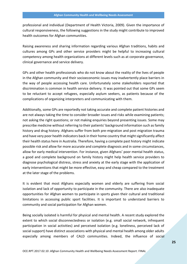professional and individual (Department of Health Victoria, 2009). Given the importance of cultural responsiveness, the following suggestions in the study might contribute to improved health outcomes for Afghan communities.

Raising awareness and sharing information regarding various Afghan traditions, habits and cultures among GPs and other service providers might be helpful to increasing cultural competency among health organizations at different levels such as at corporate governance, clinical governance and service delivery.

GPs and other health professionals who do not know about the reality of the lives of people in the Afghan community and their socioeconomic issues may inadvertently place barriers in the way of people accessing health care. Unfortunately some stakeholders reported that discrimination is common in health service delivery. It was pointed out that some GPs seem to be reluctant to accept refugees, especially asylum seekers, as patients because of the complications of organizing interpreters and communicating with them.

Additionally, some GPs are reportedly not taking accurate and complete patient histories and are not always taking the time to consider broader issues and risks while examining patients; not asking the right questions; or not making enquiries beyond presenting issues. Some may prescribe medicine without referring to their patients' background information such as family history and drug history. Afghans suffer from both pre-migration and post migration trauma and have very poor health indicators back in their home country that might significantly affect their health status here in Australia. Therefore, having a complete past history might indicate possible risk and allow for more accurate and complete diagnosis and in some circumstances, allow for early medical intervention. For instance, given Afghans' poor mental health status, a good and complete background on family history might help health service providers to diagnose psychological distress, stress and anxiety at the early stage with the application of early interventions that might be more effective, easy and cheap compared to the treatment at the later stage of the problems.

It is evident that most Afghans especially women and elderly are suffering from social isolation and lack of opportunity to participate in the community. There are also inadequate opportunities for Afghan women to participate in sports given their cultural and traditional limitations in accessing public sport facilities. It is important to understand barriers to community and social participation for Afghan women.

Being socially isolated is harmful for physical and mental health. A recent study explored the extent to which social disconnectedness or isolation (e.g. small social network, infrequent participation in social activities) and perceived isolation (e.g. loneliness, perceived lack of social support) have distinct associations with physical and mental health among older adults especially among members of CALD communities. Indeed, the influence of social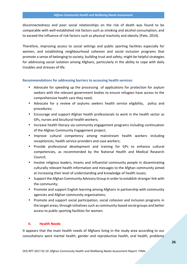disconnectedness and poor social relationships on the risk of death was found to be comparable with well-established risk factors such as smoking and alcohol consumption, and to exceed the influence of risk factors such as physical inactivity and obesity (Pate, 2014).

Therefore, improving access to social settings and public sporting facilities especially for women, and establishing neighbourhood cohesion and social inclusion programs that promote a sense of belonging to society, building trust and safety, might be helpful strategies for addressing social isolation among Afghans, particularly in the ability to cope with daily troubles and stresses of life.

#### **Recommendations for addressing barriers to accessing health services:**

- Advocate for speeding up the processing of applications for protection for asylum seekers with the relevant government bodies to ensure refugees have access to the comprehensive health care they need;
- Advocate for a review of asylums seekers health service eligibility, policy and procedures;
- Encourage and support Afghan health professionals to work in the health sector as GPs, nurses and bicultural health workers;
- Increase health literacy via community engagement programs including continuation of the Afghan Community Engagement project;
- Improve cultural competency among mainstream health workers including receptionists, health service providers and case workers;
- Provide professional development and training for GPs to enhance cultural competencies, as recommended by the National Health and Medical Research Council;
- Involve religious leaders, Imams and influential community people in disseminating culturally relevant health information and messages to the Afghan community aimed at increasing their level of understanding and knowledge of health issues;
- Support the Afghan Community Advisory Group in order to establish stronger link with the community;
- Promote and support English learning among Afghans in partnership with community agencies and Afghan community organisations;
- Promote and support social participation, social cohesion and inclusion programs in the target areas, through initiatives such as community-based social groups and better access to public sporting facilities for women.

#### **II. Health Needs**

It appears that the main health needs of Afghans living in the study area according to our consultations were mental health, gender and reproductive health, oral health, problems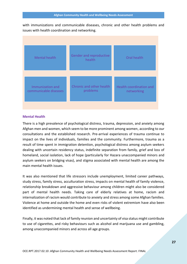with immunizations and communicable diseases, chronic and other health problems and issues with health coordination and networking.

| <b>Mental health</b>  | Gender and reproductive<br>health | Oral health             |
|-----------------------|-----------------------------------|-------------------------|
| Immunization and      | Chronic and other health          | Health coordination and |
| communicable diseases | problems                          | networking              |

#### **Mental Health**

There is a high prevalence of psychological distress, trauma, depression, and anxiety among Afghan men and women, which seem to be more prominent among women, according to our consultations and the established research. Pre-arrival experiences of trauma continue to impact on the lives of individuals, families and the community. Furthermore, trauma as a result of time spent in immigration detention, psychological distress among asylum seekers dealing with uncertain residency status, indefinite separation from family, grief and loss of homeland, social isolation, lack of hope (particularly for Hazara unaccompanied minors and asylum seekers on bridging visas), and stigma associated with mental health are among the main mental health issues.

It was also mentioned that life stressors include unemployment, limited career pathways, study stress, family stress, acculturation stress, impacts on mental health of family violence, relationship breakdown and aggressive behaviour among children might also be considered part of mental health needs. Taking care of elderly relatives at home, racism and internalization of racism would contribute to anxiety and stress among some Afghan families. Violence at home and outside the home and even risks of violent extremism have also been identified as undermining mental health and sense of wellbeing.

Finally, it was noted that lack of family reunion and uncertainty of visa status might contribute to use of cigarettes, and risky behaviours such as alcohol and marijuana use and gambling, among unaccompanied minors and across all age groups.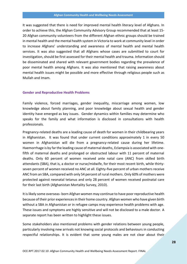It was suggested that there is need for improved mental health literacy level of Afghans. In order to achieve this, the Afghan Community Advisory Group recommended that at least 15- 20 Afghan community volunteers from the different Afghan ethnic groups should be trained in mental health and the mental health system in Victoria to work at community level in order to increase Afghans' understanding and awareness of mental health and mental health services. It was also suggested that all Afghans whose cases are submitted to court for investigation, should be first assessed for their mental health and trauma. Information should be disseminated and shared with relevant government bodies regarding the prevalence of poor mental health among Afghans. It was also mentioned that raising awareness about mental health issues might be possible and more effective through religious people such as Mullah and Imam.

#### **Gender and Reproductive Health Problems**

Family violence, forced marriages, gender inequality, miscarriage among women, low knowledge about family planning, and poor knowledge about sexual health and gender identity have emerged as key issues. Gender dynamics within families may determine who speaks for the family and what information is disclosed in consultations with health professionals.

Pregnancy-related deaths are a leading cause of death for women in their childbearing years in Afghanistan. It was found that under current conditions approximately 1 in every 50 women in Afghanistan will die from a pregnancy-related cause during her lifetime. Haemorrhage is by far the leading cause of maternal deaths, Eclampsia is associated with onefifth of maternal deaths and prolonged or obstructed labour with 11 percent of maternal deaths. Only 60 percent of women received ante natal care (ANC) from skilled birth attendants (SBA), that is, a doctor or nurse/midwife, for their most recent birth, while thirty seven percent of women received no ANC at all. Eighty-five percent of urban mothers receive ANC from an SBA, compared with only 54 percent of rural mothers. Only 60% of mothers were protected against neonatal tetanus and only 28 percent of women received postnatal care for their last birth (Afghanistan Mortality Survey, 2010).

It is likely some overseas- born Afghan women may continue to have poor reproductive health because of their prior experiencesin their home country. Afghan women who have given birth without a SBA in Afghanistan or in refugee camps may experience health problems with age. These issues and symptoms are highly sensitive and will not be disclosed to a male doctor. A separate report has been written to highlight these issues.

Some stakeholders also mentioned problems with gender relations between young people, particularly involving new arrivals not knowing social protocols and behaviours in conducting respectful relationships. It is evident that some young males are not clear about their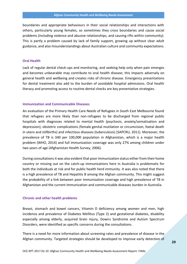boundaries and appropriate behaviours in their social relationships and interactions with others, particularly young females, so sometimes they cross boundaries and cause social problems (including violence and abusive relationships, and causing rifts within community). This is partly a problem caused by lack of family support, growing up without clear adult guidance, and also misunderstandings about Australian culture and community expectations.

#### **Oral Health**

Lack of regular dental check-ups and monitoring, and seeking help only when pain emerges and becomes unbearable may contribute to oral health disease; this impacts adversely on general health and wellbeing and creates risks of chronic disease. Emergency presentations for dental treatment also add to the burden of avoidable hospital admissions. Oral health literacy and promoting access to routine dental checks are key preventative strategies.

#### **Immunization and Communicable Diseases**

An evaluation of the Primary Health Care Needs of Refugees in South East Melbourne found that refugees are more likely than non-refugees to be discharged from regional public hospitals with diagnoses related to mental health (psychosis, anxiety/somatisation and depression), obstetric complications (female genital mutilation or circumcision, foetal death in utero and stillbirths) and infectious diseases (tuberculosis) (SAPCRU, 2011). Moreover, the prevalence of TB is 340 per 100,000 population in Afghanistan, which is a major health problem (WHO, 2014) and full immunization coverage was only 27% among children under two years of age (Afghanistan Health Survey, 2006).

During consultations it was also evident that poor immunization status either from their home country or missing out on the catch-up immunizations here in Australia is problematic for both the individuals at risk and for public health herd immunity. It was also noted that there is a high prevalence of TB and Hepatitis B among the Afghan community. This might suggest the probability of a link between poor immunization coverage and high prevalence of TB in Afghanistan and the current immunization and communicable diseases burden in Australia.

#### **Chronic and other health problems**

Breast, stomach and bowel cancers, Vitamin D deficiency among women and men, high incidence and prevalence of Diabetes Mellitus (Type 2) and gestational diabetes, disability especially among elderly, acquired brain injury, Downs Syndrome and Autism Spectrum Disorders, were identified as specific concerns during the consultations.

There is a need for more information about screening rates and prevalence of disease in the Afghan community. Targeted strategies should be developed to improve early detection of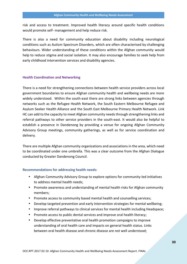risk and access to treatment. Improved health literacy around specific health conditions would promote self- management and help reduce risk.

There is also a need for community education about disability including neurological conditions such as Autism Spectrum Disorders, which are often characterised by challenging behaviours. Wider understanding of these conditions within the Afghan community would help to reduce stigma and social isolation. It may also encourage families to seek help from early childhood intervention services and disability agencies.

#### **Health Coordination and Networking**

There is a need for strengthening connections between health service providers across local government boundaries to ensure Afghan community health and wellbeing needs are more widely understood. Within the south-east there are strong links between agencies through networks such as the Refugee Health Network, the South Eastern Melbourne Refugee and Asylum Seeker Health Alliance and the South East Melbourne Primary Health Network. Link HC can add to the capacity to meet Afghan community needs through strengthening links and referral pathways to other service providers in the south-east. It would also be helpful to establish a presence in Dandenong by providing a venue for ongoing Afghan Community Advisory Group meetings, community gatherings, as well as for service coordination and delivery.

There are multiple Afghan community organizations and associations in the area, which need to be coordinated under one umbrella. This was a clear outcome from the Afghan Dialogue conducted by Greater Dandenong Council.

#### **Recommendations for addressing health needs:**

- Afghan Community Advisory Group to explore options for community-led initiatives to address mental health needs;
- Promote awareness and understanding of mental health risks for Afghan community members;
- Promote access to community based mental health and counselling services;
- Develop targeted prevention and early intervention strategies for mental wellbeing;
- Improve referral pathways to clinical services for mental health including Headspace;
- Promote access to public dental services and improve oral health literacy;
- Develop effective preventative oral health promotion campaigns to improve understanding of oral health care and impacts on general health status. Links between oral health disease and chronic disease are not well understood;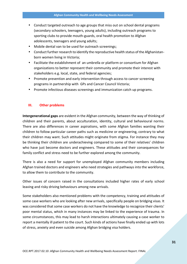- Conduct targeted outreach to age groups that miss out on school dental programs (secondary schoolers, teenagers, young adults), including outreach programs to sporting clubs to provide mouth-guards, oral health promotion to Afghan adolescents, teenagers and young adults;
- Mobile dental van to be used for outreach screenings;
- Conduct further research to identify the reproductive health status of the Afghanistan born women living in Victoria;
- Facilitate the establishment of an umbrella or platform or consortium for Afghan organizations to better represent their community and promote their interest with stakeholders e.g. local, state, and federal agencies;
- Promote prevention and early intervention through access to cancer screening programs in partnership with GPs and Cancer Council Victoria;
- Promote infectious diseases screenings and immunization catch up programs.

#### **III. Other problems**

**Intergenerational gaps** are evident in the Afghan community, between the way of thinking of children and their parents, about acculturation, identity, cultural and behavioural norms. There are also differences in career aspirations, with some Afghan families wanting their children to follow particular career paths such as medicine or engineering, contrary to what their children may want. Such attitudes might originate from stigma. For instance they may be thinking their children are underachieving compared to some of their relatives' children who have just become doctors and engineers. These attitudes and their consequences for family conflict and stress need to be further explored among the community.

There is also a need for support for unemployed Afghan community members including Afghan trained doctors and engineers who need strategies and pathways into the workforce, to allow them to contribute to the community.

Other issues of concern raised in the consultations included higher rates of early school leaving and risky driving behaviours among new arrivals.

Some stakeholders also mentioned problems with the competency, training and attitudes of some case workers who are looking after new arrivals, specifically people on bridging visas. It was considered that some case workers do not have the knowledge to recognize their clients' poor mental status, which in many instances may be linked to the experience of trauma. In some circumstances, this may lead to harsh interactions ultimately causing a case worker to report a mentally ill patient to the court. Such kinds of actions have finally ended up with lots of stress, anxiety and even suicide among Afghan bridging visa holders.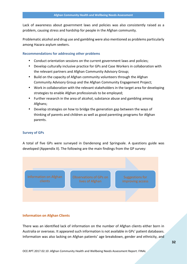Lack of awareness about government laws and policies was also consistently raised as a problem, causing stress and hardship for people in the Afghan community.

Problematic alcohol and drug use and gambling were also mentioned as problems particularly among Hazara asylum seekers.

#### **Recommendations for addressing other problems**

- Conduct orientation sessions on the current government laws and policies;
- Develop culturally inclusive practice for GPs and Case Workers in collaboration with the relevant partners and Afghan Community Advisory Group;
- Build on the capacity of Afghan community volunteers through the Afghan Community Advisory Group and the Afghan Community Engagement Project;
- Work in collaboration with the relevant stakeholders in the target area for developing strategies to enable Afghan professionals to be employed;
- Further research in the area of alcohol, substance abuse and gambling among Afghans;
- Develop strategies on how to bridge the generation gap between the ways of thinking of parents and children as well as good parenting programs for Afghan parents.

#### **Survey of GPs**

A total of five GPs were surveyed in Dandenong and Springvale. A questions guide was developed (Appendix II). The following are the main findings from the GP survey:



#### **Information on Afghan Clients**

There was an identified lack of information on the number of Afghan clients either born in Australia or overseas. It appeared such information is not available in GPs' patient databases. Information was also lacking on Afghan patients' age breakdown, gender and ethnicity, and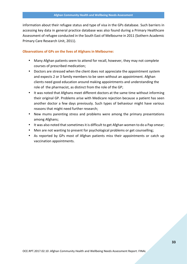information about their refugee status and type of visa in the GPs database. Such barriers in accessing key data in general practice database was also found during a Primary Healthcare Assessment of refugee conducted in the South East of Melbourne in 2011 (Sothern Academic Primary Care Research Unit, 2011).

#### **Observations of GPs on the lives of Afghans in Melbourne:**

- Many Afghan patients seem to attend for recall, however, they may not complete courses of prescribed medication;
- Doctors are stressed when the client does not appreciate the appointment system and expects 2 or 3 family members to be seen without an appointment. Afghan clients need good education around making appointments and understanding the role of the pharmacist, as distinct from the role of the GP;
- It was noted that Afghans meet different doctors at the same time without informing their original GP. Problems arise with Medicare rejection because a patient has seen another doctor a few days previously. Such types of behaviour might have various reasons that might need further research;
- New mums parenting stress and problems were among the primary presentations among Afghans;
- It was also noted that sometimes it is difficult to get Afghan women to do a Pap smear;
- Men are not wanting to present for psychological problems or get counselling;
- As reported by GPs most of Afghan patients miss their appointments or catch up vaccination appointments.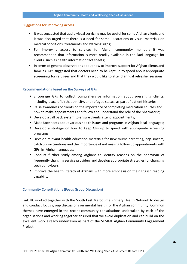#### **Suggestions for improving access**

- It was suggested that audio visual servicing may be useful for some Afghan clients and it was also urged that there is a need for some illustrations or visual materials on medical conditions, treatments and warning signs;
- For improving access to services for Afghan community members it was recommended that information is more readily available in the Dari language for clients, such as health information fact sheets;
- In terms of general observations about how to improve support for Afghan clients and families, GPs suggested that doctors need to be kept up to speed about appropriate screenings for refugees and that they would like to attend annual refresher sessions.

#### **Recommendations based on the Surveys of GPs**

- Encourage GPs to collect comprehensive information about presenting clients, including place of birth, ethnicity, and refugee status, as part of patient histories;
- Raise awareness of clients on the importance of completing medication courses and how to make appointments and follow and understand the role of the pharmacist;
- Develop a call back system to ensure clients attend appointments;
- Make factsheets about various health issues and programs in Afghan local languages;
- Develop a strategy on how to keep GPs up to speed with appropriate screening programs;
- Develop relevant health education materials for new mums parenting, pap smears, catch up vaccinations and the importance of not missing follow up appointments with GPs in Afghan languages;
- Conduct further study among Afghans to identify reasons on the behaviour of frequently changing service providers and develop appropriate strategies for changing such behaviours;
- Improve the health literacy of Afghans with more emphasis on their English reading capability.

#### **Community Consultations (Focus Group Discussion)**

Link HC worked together with the South East Melbourne Primary Health Network to design and conduct focus group discussions on mental health for the Afghan community. Common themes have emerged in the recent community consultations undertaken by each of the organisations and working together ensured that we avoid duplication and can build on the excellent work already undertaken as part of the SEMML Afghan Community Engagement Project.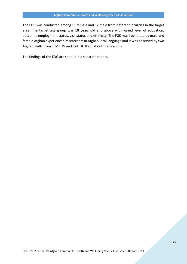The FGD was conducted among 11 female and 12 male from different localities in the target area. The target age group was 18 years old and above with varied level of education, outcome, employment status, visa status and ethnicity. The FGD was facilitated by male and female Afghan experienced researchers in Afghan local language and it was observed by two Afghan staffs from SEMPHN and Link HC throughout the sessions.

The findings of the FDG are set out in a separate report.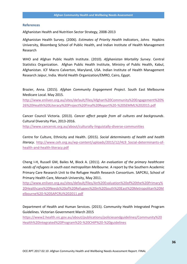#### **References**

Afghanistan Health and Nutrition Sector Strategy, 2008-2013

Afghanistan Health Survey. (2006). *Estimates of Priority Health Indicators*, Johns Hopkins University, Bloomberg School of Public Health, and Indian Institute of Health Management Research

WHO and Afghan Public Health Institute. (2010). *Afghanistan Mortality Survey*. Central Statistics Organization. Afghan Public Health Institute, Ministry of Public Health, Kabul, Afghanistan. ICF Macro Calverton, Maryland, USA. Indian Institute of Health Management Research Jaipur, India. World Health Organization/EMRO, Cairo, Egypt.

Brazier, Anna. (2015). *Afghan Community Engagement Project*. South East Melbourne Medicare Local. May 2015.

http://www.enliven.org.au/sites/default/files/Afghan%20Community%20Engagement%20% 26%20Health%20Literacy%20Project%20Final%20Report%20-%20SEMML%202015.pdf

Cancer Council Victoria. (2013). *Cancer affect people from all cultures and backgrounds*. Cultural Diversity Plan, 2013-2016. http://www.cancervic.org.au/about/culturally-linguistally-diverse-communities

Centre for Culture, Ethnicity and Health. (2015). *Social determinants of health and health literacy*. http://www.ceh.org.au/wp-content/uploads/2015/12/HL9\_Social-determinants-of health-and-health-literacy.pdf

Cheng I-H, Russell GM, Bailes M, Block A. (2011). *An evaluation of the primary healthcare needs of refugees in south east metropolitan Melbourne.* A report by the Southern Academic Primary Care Research Unit to the Refugee Health Research Consortium. SAPCRU, School of Primary Health Care, Monash University, May 2011.

http://www.enliven.org.au/sites/default/files/An%20Evaluation%20of%20the%20Primary% 20Healthcare%20Needs%20of%20Refugees%20in%20South%20East%20Metropolitan%20M elbourne%20-%20SAPCRU%202011.pdf

Department of Health and Human Services. (2015). Community Health Integrated Program Guidelines. Victorian Government March 2015

https://www2.health.vic.gov.au/about/publications/policiesandguidelines/Community%20 Health%20Integrated%20Program%20-%20CHIP%20-%20guidelines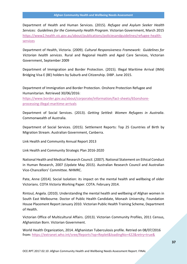Department of Health and Human Services. (2015). *Refugee and Asylum Seeker Health Services: Guidelines for the Community Health Program*. Victorian Government, March 2015 https://www2.health.vic.gov.au/about/publications/policiesandguidelines/refugee-health services

Department of Health, Victoria. (2009). *Cultural Responsiveness Framework: Guidelines for Victorian health services*. Rural and Regional Health and Aged Care Services, Victorian Government, September 2009

Department of Immigration and Border Protection. (2015). Illegal Maritime Arrival (IMA) Bridging Visa E (BE) holders by Suburb and Citizenship. DIBP. June 2015.

Department of Immigration and Border Protection. Onshore Protection Refugee and Humanitarian. Retrieved 30/06/2016:

https://www.border.gov.au/about/corporate/information/fact-sheets/65onshore processing-illegal-maritime-arrivals

Department of Social Services. (2013). *Getting Settled: Women Refugees in Australia*. Commonwealth of Australia.

Department of Social Services. (2015). Settlement Reports: Top 25 Countries of Birth by Migration Stream. Australian Government, Canberra.

Link Health and Community Annual Report 2013

Link Health and Community Strategic Plan 2016-2020

National Health and Medical Research Council. (2007). National Statement on Ethical Conduct in Human Research, 2007 (Update May 2015). Australian Research Council and Australian Vice-Chancellors' Committee. NHMRC.

Pate, Anne (2014). Social Isolation: its impact on the mental health and wellbeing of older Victorians. COTA Victoria Working Paper. COTA. February 2014.

Rintoul, Angela. (2010). Understanding the mental health and wellbeing of Afghan women in South East Melbourne. Doctor of Public Health Candidate, Monash University, Foundation House Placement Report January 2010. Victorian Public Health Training Scheme, Department of Health.

Victorian Office of Multicultural Affairs. (2013). Victorian Community Profiles, 2011 Census, Afghanistan Born. Victorian Government.

World Health Organization, 2014. Afghanistan Tuberculosis profile. Retried on 08/07/2016 from: https://extranet.who.int/sree/Reports?op=Replet&loadingNo=422&retry=true&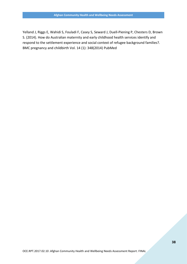Yelland J, Riggs E, Wahidi S, Fouladi F, Casey S, Seward J, Duell-Piening P, Chesters D, Brown S. (2014). How do Australian maternity and early childhood health services identify and respond to the settlement experience and social context of refugee background families?. BMC pregnancy and childbirth Vol. 14 (1): 348(2014) PubMed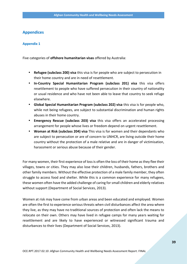### **Appendices**

#### **Appendix 1**

Five categories of **offshore humanitarian visas** offered by Australia:

- **Refugee (subclass 200) visa** this visa is for people who are subject to persecution in their home country and are in need of resettlement.
- **In-Country Special Humanitarian Program (subclass 201) visa** this visa offers resettlement to people who have suffered persecution in their country of nationality or usual residence and who have not been able to leave that country to seek refuge elsewhere.
- **Global Special Humanitarian Program (subclass 202) visa** this visa is for people who, while not being refugees, are subject to substantial discrimination and human rights abuses in their home country.
- **Emergency Rescue (subclass 203) visa** this visa offers an accelerated processing arrangement for people whose lives or freedom depend on urgent resettlement.
- **Woman at Risk (subclass 204) visa** This visa is for women and their dependants who are subject to persecution or are of concern to UNHCR, are living outside their home country without the protection of a male relative and are in danger of victimisation, harassment or serious abuse because of their gender.

For many women, their first experience of loss is often the loss of their home as they flee their villages, towns or cities. They may also lose their children, husbands, fathers, brothers and other family members. Without the effective protection of a male family member, they often struggle to access food and shelter. While this is a common experience for many refugees, these women often have the added challenge of caring for small children and elderly relatives without support (Department of Social Services, 2013).

Women at risk may have come from urban areas and been educated and employed. Women are often the first to experience serious threats when civil disturbances affect the area where they live, as they may have no traditional sources of protection and often lack the means to relocate on their own. Others may have lived in refugee camps for many years waiting for resettlement and are likely to have experienced or witnessed significant trauma and disturbances to their lives (Department of Social Services, 2013).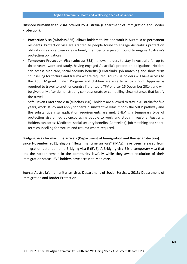**Onshore humanitarian visas** offered by Australia (Department of Immigration and Border Protection):

- **Protection Visa (subclass 866):** allows holders to live and work in Australia as permanent residents. Protection visa are granted to people found to engage Australia's protection obligations as a refugee or as a family member of a person found to engage Australia's protection obligations.
- **Temporary Protection Visa (subclass 785):** allows holders to stay in Australia for up to three years, work and study, having engaged Australia's protection obligations. Holders can access Medicare, social security benefits (Centrelink), job matching and short term counselling for torture and trauma where required. Adult visa holders will have access to the Adult Migrant English Program and children are able to go to school. Approval is required to travel to another country if granted a TPV or after 16 December 2014, and will be given only after demonstrating compassionate or compelling circumstances that justify the travel.
- **Safe Haven Enterprise visa (subclass 790):** holders are allowed to stay in Australia for five years, work, study and apply for certain substantive visas if both the SHEV pathway and the substantive visa application requirements are met. SHEV is a temporary type of protection visa aimed at encouraging people to work and study in regional Australia. Holders can access Medicare, social security benefits (Centrelink), job matching and short term counselling for torture and trauma where required.

**Bridging visas for maritime arrivals (Department of Immigration and Border Protection):** Since November 2011, eligible "illegal maritime arrivals" (IMAs) have been released from immigration detention on a Bridging visa E (BVE). A Bridging visa E is a temporary visa that lets the holder remain in the community lawfully while they await resolution of their immigration status. BVE holders have access to Medicare.

Source: Australia's humanitarian visas Department of Social Services, 2013; Department of Immigration and Border Protection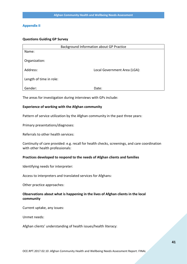#### **Appendix II**

#### **Questions Guiding GP Survey**

| Background Information about GP Practice |                              |  |
|------------------------------------------|------------------------------|--|
| Name:                                    |                              |  |
|                                          |                              |  |
| Organization:                            |                              |  |
|                                          |                              |  |
| Address:                                 | Local Government Area (LGA): |  |
| Length of time in role:                  |                              |  |
|                                          |                              |  |
| Gender:                                  | Date:                        |  |

The areas for investigation during interviews with GPs include:

#### **Experience of working with the Afghan community**

Pattern of service utilization by the Afghan community in the past three years:

Primary presentations/diagnoses:

Referrals to other health services:

Continuity of care provided: e.g. recall for health checks, screenings, and care coordination with other health professionals:

#### **Practices developed to respond to the needs of Afghan clients and families**

Identifying needs for interpreter:

Access to interpreters and translated services for Afghans:

Other practice approaches:

#### **Observations about what is happening in the lives of Afghan clients in the local community**

Current uptake, any issues:

Unmet needs:

Afghan clients' understanding of health issues/health literacy: